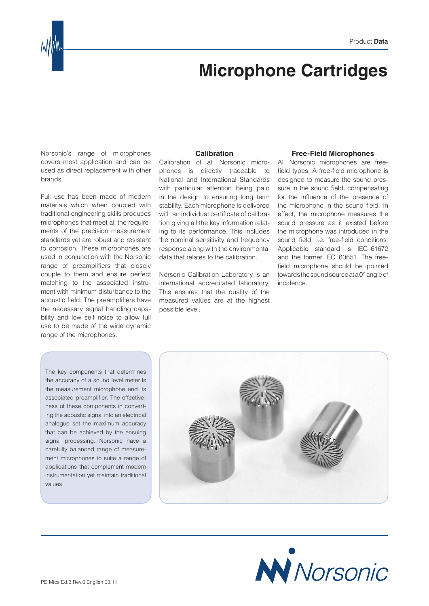

## **Microphone Cartridges**

Norsonic's range of microphones covers most application and can be used as direct replacement with other brands.

Full use has been made of modern materials which when coupled with traditional engineering skills produces microphones that meet all the requirements of the precision measurement standards yet are robust and resistant to corrosion. These microphones are used in conjunction with the Norsonic range of preamplifiers that closely couple to them and ensure perfect matching to the associated instrument with minimum disturbance to the acoustic field. The preamplifiers have the necessary signal handling capability and low self noise to allow full use to be made of the wide dynamic range of the microphones.

**Calibration**

Calibration of all Norsonic microphones is directly traceable to National and International Standards with particular attention being paid in the design to ensuring long term stability. Each microphone is delivered with an individual certificate of calibration giving all the key information relating to its performance. This includes the nominal sensitivity and frequency response along with the environmental data that relates to the calibration.

Norsonic Calibration Laboratory is an international accreditated laboratory. This ensures that the quality of the measured values are at the highest possible level.

## **Free-Field Microphones**

All Norsonic microphones are freefield types. A free-field microphone is designed to measure the sound pressure in the sound field, compensating for the influence of the presence of the microphone in the sound field. In effect, the microphone measures the sound pressure as it existed before the microphone was introduced in the sound field, i.e. free-field conditions. Applicable standard is IEC 61672 and the former IEC 60651. The freefield microphone should be pointed towards the sound source at a 0° angle of incidence.

The key components that determines the accuracy of a sound level meter is the measurement microphone and its associated preamplifier. The effectiveness of these components in converting the acoustic signal into an electrical analogue set the maximum accuracy that can be achieved by the ensuing signal processing. Norsonic have a carefully balanced range of measurement microphones to suite a range of applications that complement modern instrumentation yet maintain traditional values.